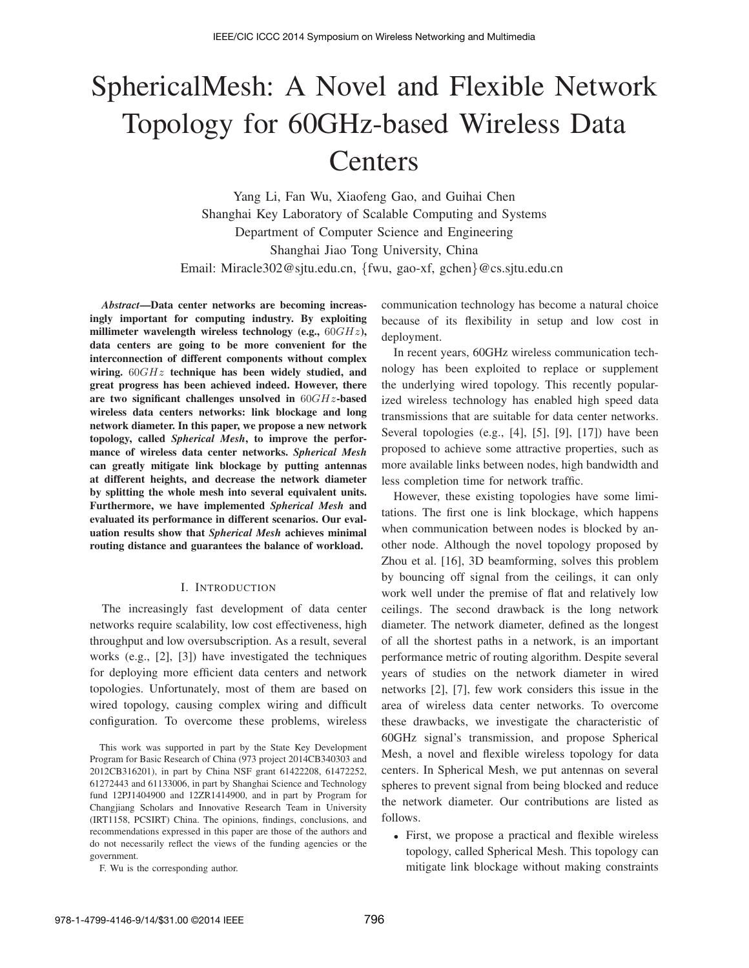# SphericalMesh: A Novel and Flexible Network Topology for 60GHz-based Wireless Data **Centers**

Yang Li, Fan Wu, Xiaofeng Gao, and Guihai Chen Shanghai Key Laboratory of Scalable Computing and Systems Department of Computer Science and Engineering Shanghai Jiao Tong University, China Email: Miracle302@sjtu.edu.cn, {fwu, gao-xf, gchen}@cs.sjtu.edu.cn

*Abstract*—Data center networks are becoming increasingly important for computing industry. By exploiting millimeter wavelength wireless technology (e.g.,  $60GHz$ ), data centers are going to be more convenient for the interconnection of different components without complex wiring.  $60GHz$  technique has been widely studied, and great progress has been achieved indeed. However, there are two significant challenges unsolved in  $60GHz$ -based wireless data centers networks: link blockage and long network diameter. In this paper, we propose a new network topology, called *Spherical Mesh*, to improve the performance of wireless data center networks. *Spherical Mesh* can greatly mitigate link blockage by putting antennas at different heights, and decrease the network diameter by splitting the whole mesh into several equivalent units. Furthermore, we have implemented *Spherical Mesh* and evaluated its performance in different scenarios. Our evaluation results show that *Spherical Mesh* achieves minimal routing distance and guarantees the balance of workload.

## I. INTRODUCTION

The increasingly fast development of data center networks require scalability, low cost effectiveness, high throughput and low oversubscription. As a result, several works (e.g., [2], [3]) have investigated the techniques for deploying more efficient data centers and network topologies. Unfortunately, most of them are based on wired topology, causing complex wiring and difficult configuration. To overcome these problems, wireless communication technology has become a natural choice because of its flexibility in setup and low cost in deployment.

In recent years, 60GHz wireless communication technology has been exploited to replace or supplement the underlying wired topology. This recently popularized wireless technology has enabled high speed data transmissions that are suitable for data center networks. Several topologies (e.g., [4], [5], [9], [17]) have been proposed to achieve some attractive properties, such as more available links between nodes, high bandwidth and less completion time for network traffic.

However, these existing topologies have some limitations. The first one is link blockage, which happens when communication between nodes is blocked by another node. Although the novel topology proposed by Zhou et al. [16], 3D beamforming, solves this problem by bouncing off signal from the ceilings, it can only work well under the premise of flat and relatively low ceilings. The second drawback is the long network diameter. The network diameter, defined as the longest of all the shortest paths in a network, is an important performance metric of routing algorithm. Despite several years of studies on the network diameter in wired networks [2], [7], few work considers this issue in the area of wireless data center networks. To overcome these drawbacks, we investigate the characteristic of 60GHz signal's transmission, and propose Spherical Mesh, a novel and flexible wireless topology for data centers. In Spherical Mesh, we put antennas on several spheres to prevent signal from being blocked and reduce the network diameter. Our contributions are listed as follows.

• First, we propose a practical and flexible wireless topology, called Spherical Mesh. This topology can mitigate link blockage without making constraints

This work was supported in part by the State Key Development Program for Basic Research of China (973 project 2014CB340303 and 2012CB316201), in part by China NSF grant 61422208, 61472252, 61272443 and 61133006, in part by Shanghai Science and Technology fund 12PJ1404900 and 12ZR1414900, and in part by Program for Changjiang Scholars and Innovative Research Team in University (IRT1158, PCSIRT) China. The opinions, findings, conclusions, and recommendations expressed in this paper are those of the authors and do not necessarily reflect the views of the funding agencies or the government.

F. Wu is the corresponding author.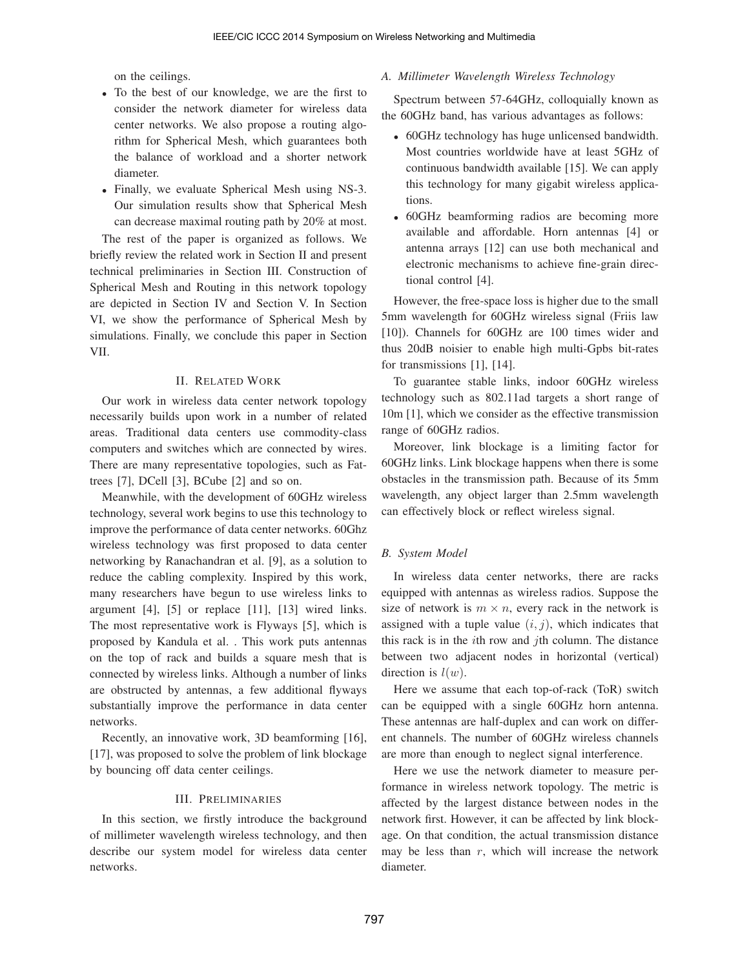on the ceilings.

- To the best of our knowledge, we are the first to consider the network diameter for wireless data center networks. We also propose a routing algorithm for Spherical Mesh, which guarantees both the balance of workload and a shorter network diameter.
- Finally, we evaluate Spherical Mesh using NS-3. Our simulation results show that Spherical Mesh can decrease maximal routing path by 20% at most.

The rest of the paper is organized as follows. We briefly review the related work in Section II and present technical preliminaries in Section III. Construction of Spherical Mesh and Routing in this network topology are depicted in Section IV and Section V. In Section VI, we show the performance of Spherical Mesh by simulations. Finally, we conclude this paper in Section VII.

## II. RELATED WORK

Our work in wireless data center network topology necessarily builds upon work in a number of related areas. Traditional data centers use commodity-class computers and switches which are connected by wires. There are many representative topologies, such as Fattrees [7], DCell [3], BCube [2] and so on.

Meanwhile, with the development of 60GHz wireless technology, several work begins to use this technology to improve the performance of data center networks. 60Ghz wireless technology was first proposed to data center networking by Ranachandran et al. [9], as a solution to reduce the cabling complexity. Inspired by this work, many researchers have begun to use wireless links to argument [4], [5] or replace [11], [13] wired links. The most representative work is Flyways [5], which is proposed by Kandula et al. . This work puts antennas on the top of rack and builds a square mesh that is connected by wireless links. Although a number of links are obstructed by antennas, a few additional flyways substantially improve the performance in data center networks.

Recently, an innovative work, 3D beamforming [16], [17], was proposed to solve the problem of link blockage by bouncing off data center ceilings.

### III. PRELIMINARIES

In this section, we firstly introduce the background of millimeter wavelength wireless technology, and then describe our system model for wireless data center networks.

#### *A. Millimeter Wavelength Wireless Technology*

Spectrum between 57-64GHz, colloquially known as the 60GHz band, has various advantages as follows:

- 60GHz technology has huge unlicensed bandwidth. Most countries worldwide have at least 5GHz of continuous bandwidth available [15]. We can apply this technology for many gigabit wireless applications.
- 60GHz beamforming radios are becoming more available and affordable. Horn antennas [4] or antenna arrays [12] can use both mechanical and electronic mechanisms to achieve fine-grain directional control [4].

However, the free-space loss is higher due to the small 5mm wavelength for 60GHz wireless signal (Friis law [10]). Channels for 60GHz are 100 times wider and thus 20dB noisier to enable high multi-Gpbs bit-rates for transmissions [1], [14].

To guarantee stable links, indoor 60GHz wireless technology such as 802.11ad targets a short range of 10m [1], which we consider as the effective transmission range of 60GHz radios.

Moreover, link blockage is a limiting factor for 60GHz links. Link blockage happens when there is some obstacles in the transmission path. Because of its 5mm wavelength, any object larger than 2.5mm wavelength can effectively block or reflect wireless signal.

#### *B. System Model*

In wireless data center networks, there are racks equipped with antennas as wireless radios. Suppose the size of network is  $m \times n$ , every rack in the network is assigned with a tuple value  $(i, j)$ , which indicates that this rack is in the *i*th row and *j*th column. The distance between two adjacent nodes in horizontal (vertical) direction is *l*(*w*).

Here we assume that each top-of-rack (ToR) switch can be equipped with a single 60GHz horn antenna. These antennas are half-duplex and can work on different channels. The number of 60GHz wireless channels are more than enough to neglect signal interference.

Here we use the network diameter to measure performance in wireless network topology. The metric is affected by the largest distance between nodes in the network first. However, it can be affected by link blockage. On that condition, the actual transmission distance may be less than *r*, which will increase the network diameter.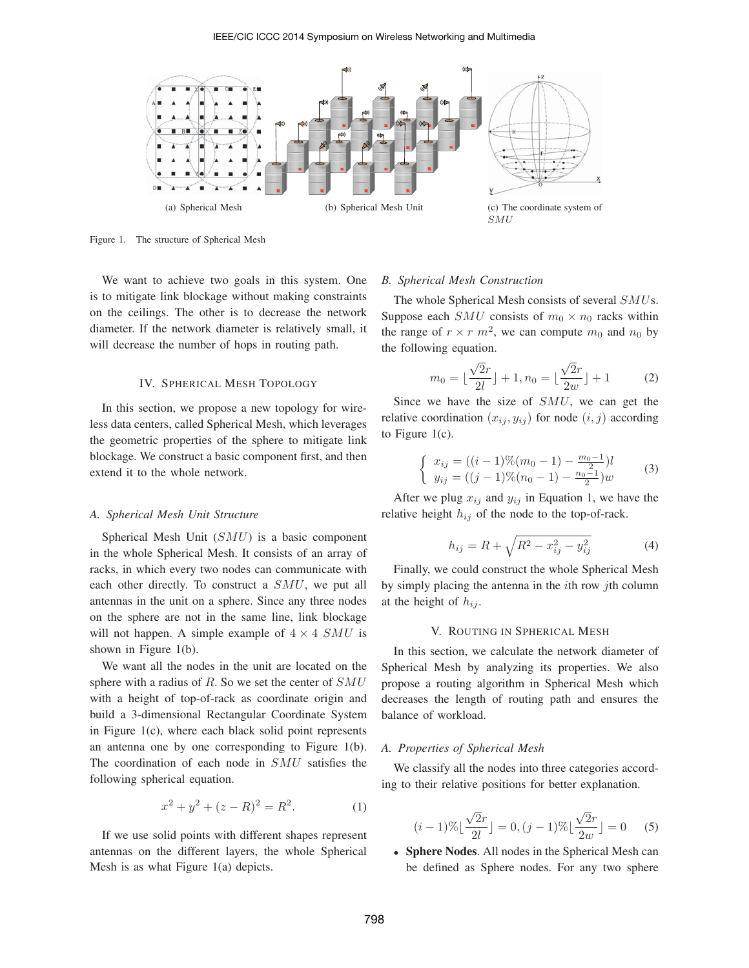

Figure 1. The structure of Spherical Mesh

We want to achieve two goals in this system. One is to mitigate link blockage without making constraints on the ceilings. The other is to decrease the network diameter. If the network diameter is relatively small, it will decrease the number of hops in routing path.

## IV. SPHERICAL MESH TOPOLOGY

In this section, we propose a new topology for wireless data centers, called Spherical Mesh, which leverages the geometric properties of the sphere to mitigate link blockage. We construct a basic component first, and then extend it to the whole network.

#### *A. Spherical Mesh Unit Structure*

Spherical Mesh Unit (*SMU*) is a basic component in the whole Spherical Mesh. It consists of an array of racks, in which every two nodes can communicate with each other directly. To construct a *SMU*, we put all antennas in the unit on a sphere. Since any three nodes on the sphere are not in the same line, link blockage will not happen. A simple example of  $4 \times 4$  *SMU* is shown in Figure 1(b).

We want all the nodes in the unit are located on the sphere with a radius of *R*. So we set the center of *SMU* with a height of top-of-rack as coordinate origin and build a 3-dimensional Rectangular Coordinate System in Figure 1(c), where each black solid point represents an antenna one by one corresponding to Figure 1(b). The coordination of each node in *SMU* satisfies the following spherical equation.

$$
x^2 + y^2 + (z - R)^2 = R^2.
$$
 (1)

If we use solid points with different shapes represent antennas on the different layers, the whole Spherical Mesh is as what Figure 1(a) depicts.

#### *B. Spherical Mesh Construction*

The whole Spherical Mesh consists of several *SMU*s. Suppose each *SMU* consists of  $m_0 \times n_0$  racks within the range of  $r \times r$   $m^2$ , we can compute  $m_0$  and  $n_0$  by the following equation.

$$
m_0 = \lfloor \frac{\sqrt{2}r}{2l} \rfloor + 1, n_0 = \lfloor \frac{\sqrt{2}r}{2w} \rfloor + 1 \tag{2}
$$

Since we have the size of *SMU*, we can get the relative coordination  $(x_{ij}, y_{ij})$  for node  $(i, j)$  according to Figure  $1(c)$ .

$$
\begin{cases}\nx_{ij} = ((i-1)\%(m_0 - 1) - \frac{m_0 - 1}{2})l \\
y_{ij} = ((j-1)\%(m_0 - 1) - \frac{n_0 - 1}{2})w\n\end{cases}
$$
\n(3)

After we plug  $x_{ij}$  and  $y_{ij}$  in Equation 1, we have the relative height  $h_{ij}$  of the node to the top-of-rack.

$$
h_{ij} = R + \sqrt{R^2 - x_{ij}^2 - y_{ij}^2}
$$
 (4)

Finally, we could construct the whole Spherical Mesh by simply placing the antenna in the *i*th row *j*th column at the height of  $h_{ij}$ .

#### V. ROUTING IN SPHERICAL MESH

In this section, we calculate the network diameter of Spherical Mesh by analyzing its properties. We also propose a routing algorithm in Spherical Mesh which decreases the length of routing path and ensures the balance of workload.

## *A. Properties of Spherical Mesh*

We classify all the nodes into three categories according to their relative positions for better explanation.

$$
(i-1)\% \lfloor \frac{\sqrt{2}r}{2l} \rfloor = 0, (j-1)\% \lfloor \frac{\sqrt{2}r}{2w} \rfloor = 0 \quad (5)
$$

• Sphere Nodes. All nodes in the Spherical Mesh can be defined as Sphere nodes. For any two sphere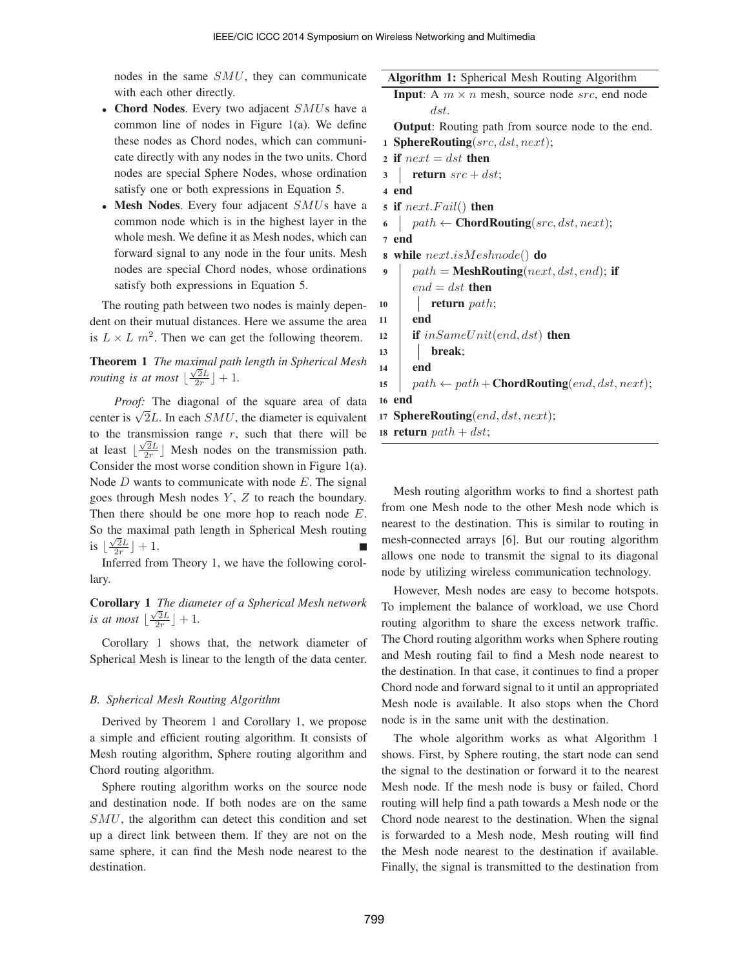nodes in the same *SMU*, they can communicate with each other directly.

- Chord Nodes. Every two adjacent *SMU*s have a common line of nodes in Figure 1(a). We define these nodes as Chord nodes, which can communicate directly with any nodes in the two units. Chord nodes are special Sphere Nodes, whose ordination satisfy one or both expressions in Equation 5.
- Mesh Nodes. Every four adjacent *SMU*s have a common node which is in the highest layer in the whole mesh. We define it as Mesh nodes, which can forward signal to any node in the four units. Mesh nodes are special Chord nodes, whose ordinations satisfy both expressions in Equation 5.

The routing path between two nodes is mainly dependent on their mutual distances. Here we assume the area is  $L \times L$   $m^2$ . Then we can get the following theorem.

Theorem 1 *The maximal path length in Spherical Mesh routing is at most*  $\lfloor \frac{\sqrt{2}L}{2r} \rfloor + 1$ .

*Proof:* The diagonal of the square area of data center is  $\sqrt{2}L$ . In each *SMU*, the diameter is equivalent to the transmission range  $r$ , such that there will be at least  $\lfloor \frac{\sqrt{2}L}{2r} \rfloor$  Mesh nodes on the transmission path. Consider the most worse condition shown in Figure 1(a). Node *D* wants to communicate with node *E*. The signal goes through Mesh nodes *Y* , *Z* to reach the boundary. Then there should be one more hop to reach node *E*. So the maximal path length in Spherical Mesh routing is  $\lfloor \frac{\sqrt{2}L}{2r} \rfloor + 1$ .

Inferred from Theory 1, we have the following corollary.

Corollary 1 *The diameter of a Spherical Mesh network is at most*  $\lfloor \frac{\sqrt{2}L}{2r} \rfloor + 1$ .

Corollary 1 shows that, the network diameter of Spherical Mesh is linear to the length of the data center.

## *B. Spherical Mesh Routing Algorithm*

Derived by Theorem 1 and Corollary 1, we propose a simple and efficient routing algorithm. It consists of Mesh routing algorithm, Sphere routing algorithm and Chord routing algorithm.

Sphere routing algorithm works on the source node and destination node. If both nodes are on the same *SMU*, the algorithm can detect this condition and set up a direct link between them. If they are not on the same sphere, it can find the Mesh node nearest to the destination.

```
Algorithm 1: Spherical Mesh Routing Algorithm
  Input: A m \times n mesh, source node src, end node
         dst.
  Output: Routing path from source node to the end.
1 SphereRouting(src, dst, next);
2 if next = dst then
\int return src + dst;4 end
5 if next.F ail() then
6 \vert path \leftarrow ChordRouting(src, dst, next);
7 end
8 while next.isMeshnode() do
9 \vert path = MeshRouting(next, dst, end); if
      end = dst then
10 return path;
11 end
12 if inSameUnit(end, dst) then
13 break;
14 end
15 \vert path \leftarrow path + ChordRouting(end, dst, next);
16 end
17 SphereRouting(end, dst, next);
```

```
18 return path + dist;
```
Mesh routing algorithm works to find a shortest path from one Mesh node to the other Mesh node which is nearest to the destination. This is similar to routing in mesh-connected arrays [6]. But our routing algorithm allows one node to transmit the signal to its diagonal node by utilizing wireless communication technology.

However, Mesh nodes are easy to become hotspots. To implement the balance of workload, we use Chord routing algorithm to share the excess network traffic. The Chord routing algorithm works when Sphere routing and Mesh routing fail to find a Mesh node nearest to the destination. In that case, it continues to find a proper Chord node and forward signal to it until an appropriated Mesh node is available. It also stops when the Chord node is in the same unit with the destination.

The whole algorithm works as what Algorithm 1 shows. First, by Sphere routing, the start node can send the signal to the destination or forward it to the nearest Mesh node. If the mesh node is busy or failed, Chord routing will help find a path towards a Mesh node or the Chord node nearest to the destination. When the signal is forwarded to a Mesh node, Mesh routing will find the Mesh node nearest to the destination if available. Finally, the signal is transmitted to the destination from